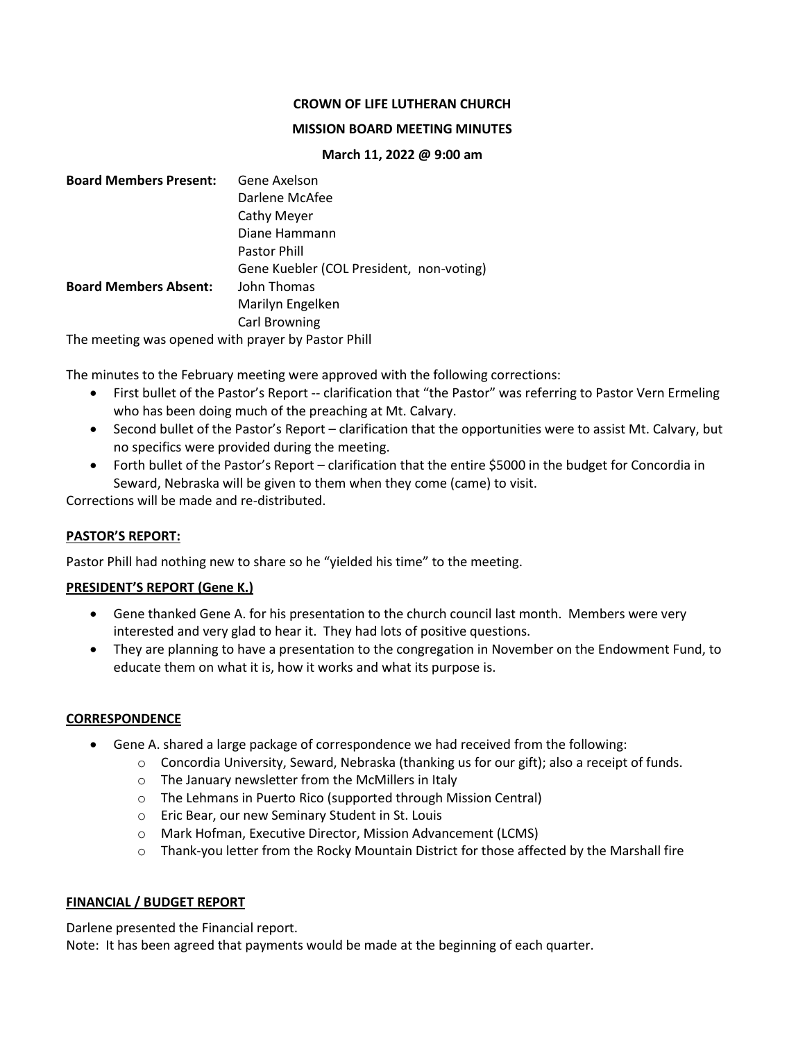## **CROWN OF LIFE LUTHERAN CHURCH**

#### **MISSION BOARD MEETING MINUTES**

#### **March 11, 2022 @ 9:00 am**

| <b>Board Members Present:</b>                      | Gene Axelson                             |
|----------------------------------------------------|------------------------------------------|
|                                                    | Darlene McAfee                           |
|                                                    | Cathy Meyer                              |
|                                                    | Diane Hammann                            |
|                                                    | <b>Pastor Phill</b>                      |
|                                                    | Gene Kuebler (COL President, non-voting) |
| <b>Board Members Absent:</b>                       | John Thomas                              |
|                                                    | Marilyn Engelken                         |
|                                                    | Carl Browning                            |
| The meeting was opened with prayer by Pastor Phill |                                          |

The minutes to the February meeting were approved with the following corrections:

- First bullet of the Pastor's Report -- clarification that "the Pastor" was referring to Pastor Vern Ermeling who has been doing much of the preaching at Mt. Calvary.
- Second bullet of the Pastor's Report clarification that the opportunities were to assist Mt. Calvary, but no specifics were provided during the meeting.
- Forth bullet of the Pastor's Report clarification that the entire \$5000 in the budget for Concordia in Seward, Nebraska will be given to them when they come (came) to visit.

Corrections will be made and re-distributed.

## **PASTOR'S REPORT:**

Pastor Phill had nothing new to share so he "yielded his time" to the meeting.

## **PRESIDENT'S REPORT (Gene K.)**

- Gene thanked Gene A. for his presentation to the church council last month. Members were very interested and very glad to hear it. They had lots of positive questions.
- They are planning to have a presentation to the congregation in November on the Endowment Fund, to educate them on what it is, how it works and what its purpose is.

#### **CORRESPONDENCE**

- Gene A. shared a large package of correspondence we had received from the following:
	- $\circ$  Concordia University, Seward, Nebraska (thanking us for our gift); also a receipt of funds.
	- o The January newsletter from the McMillers in Italy
	- o The Lehmans in Puerto Rico (supported through Mission Central)
	- o Eric Bear, our new Seminary Student in St. Louis
	- o Mark Hofman, Executive Director, Mission Advancement (LCMS)
	- $\circ$  Thank-you letter from the Rocky Mountain District for those affected by the Marshall fire

#### **FINANCIAL / BUDGET REPORT**

Darlene presented the Financial report.

Note: It has been agreed that payments would be made at the beginning of each quarter.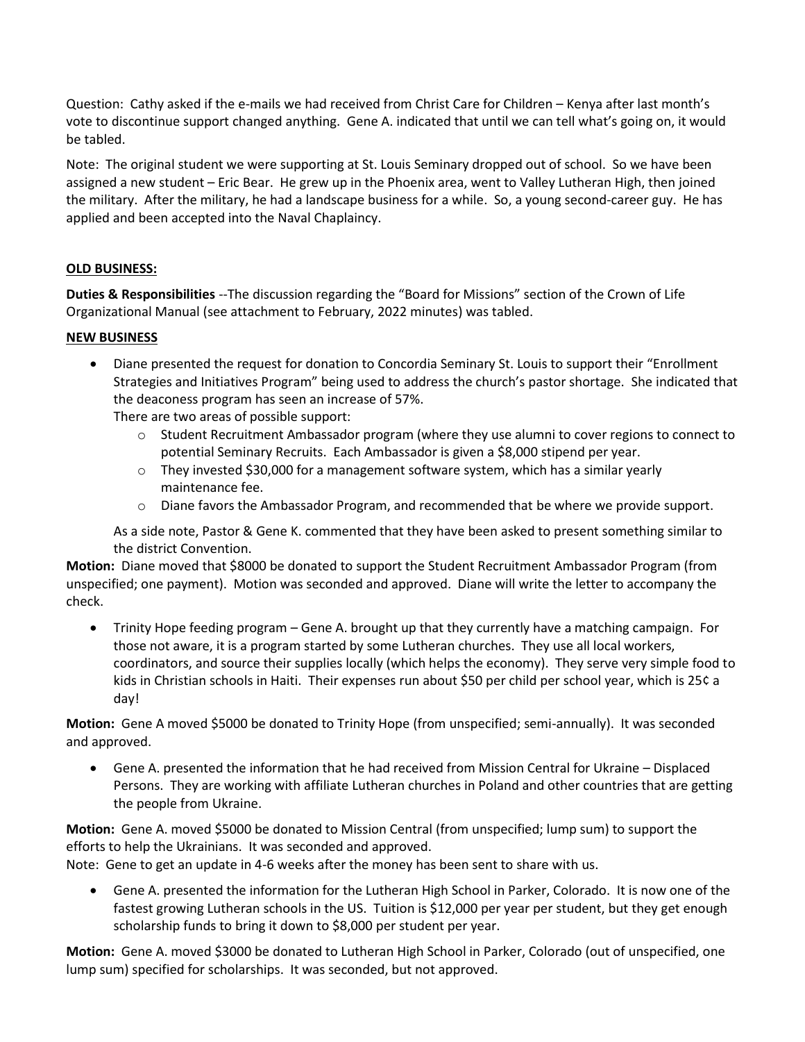Question: Cathy asked if the e-mails we had received from Christ Care for Children – Kenya after last month's vote to discontinue support changed anything. Gene A. indicated that until we can tell what's going on, it would be tabled.

Note: The original student we were supporting at St. Louis Seminary dropped out of school. So we have been assigned a new student – Eric Bear. He grew up in the Phoenix area, went to Valley Lutheran High, then joined the military. After the military, he had a landscape business for a while. So, a young second-career guy. He has applied and been accepted into the Naval Chaplaincy.

# **OLD BUSINESS:**

**Duties & Responsibilities** --The discussion regarding the "Board for Missions" section of the Crown of Life Organizational Manual (see attachment to February, 2022 minutes) was tabled.

# **NEW BUSINESS**

• Diane presented the request for donation to Concordia Seminary St. Louis to support their "Enrollment Strategies and Initiatives Program" being used to address the church's pastor shortage. She indicated that the deaconess program has seen an increase of 57%.

There are two areas of possible support:

- o Student Recruitment Ambassador program (where they use alumni to cover regions to connect to potential Seminary Recruits. Each Ambassador is given a \$8,000 stipend per year.
- $\circ$  They invested \$30,000 for a management software system, which has a similar yearly maintenance fee.
- o Diane favors the Ambassador Program, and recommended that be where we provide support.

As a side note, Pastor & Gene K. commented that they have been asked to present something similar to the district Convention.

**Motion:** Diane moved that \$8000 be donated to support the Student Recruitment Ambassador Program (from unspecified; one payment). Motion was seconded and approved. Diane will write the letter to accompany the check.

• Trinity Hope feeding program – Gene A. brought up that they currently have a matching campaign. For those not aware, it is a program started by some Lutheran churches. They use all local workers, coordinators, and source their supplies locally (which helps the economy). They serve very simple food to kids in Christian schools in Haiti. Their expenses run about \$50 per child per school year, which is 25¢ a day!

**Motion:** Gene A moved \$5000 be donated to Trinity Hope (from unspecified; semi-annually). It was seconded and approved.

• Gene A. presented the information that he had received from Mission Central for Ukraine – Displaced Persons. They are working with affiliate Lutheran churches in Poland and other countries that are getting the people from Ukraine.

**Motion:** Gene A. moved \$5000 be donated to Mission Central (from unspecified; lump sum) to support the efforts to help the Ukrainians. It was seconded and approved.

Note: Gene to get an update in 4-6 weeks after the money has been sent to share with us.

• Gene A. presented the information for the Lutheran High School in Parker, Colorado. It is now one of the fastest growing Lutheran schools in the US. Tuition is \$12,000 per year per student, but they get enough scholarship funds to bring it down to \$8,000 per student per year.

**Motion:** Gene A. moved \$3000 be donated to Lutheran High School in Parker, Colorado (out of unspecified, one lump sum) specified for scholarships. It was seconded, but not approved.